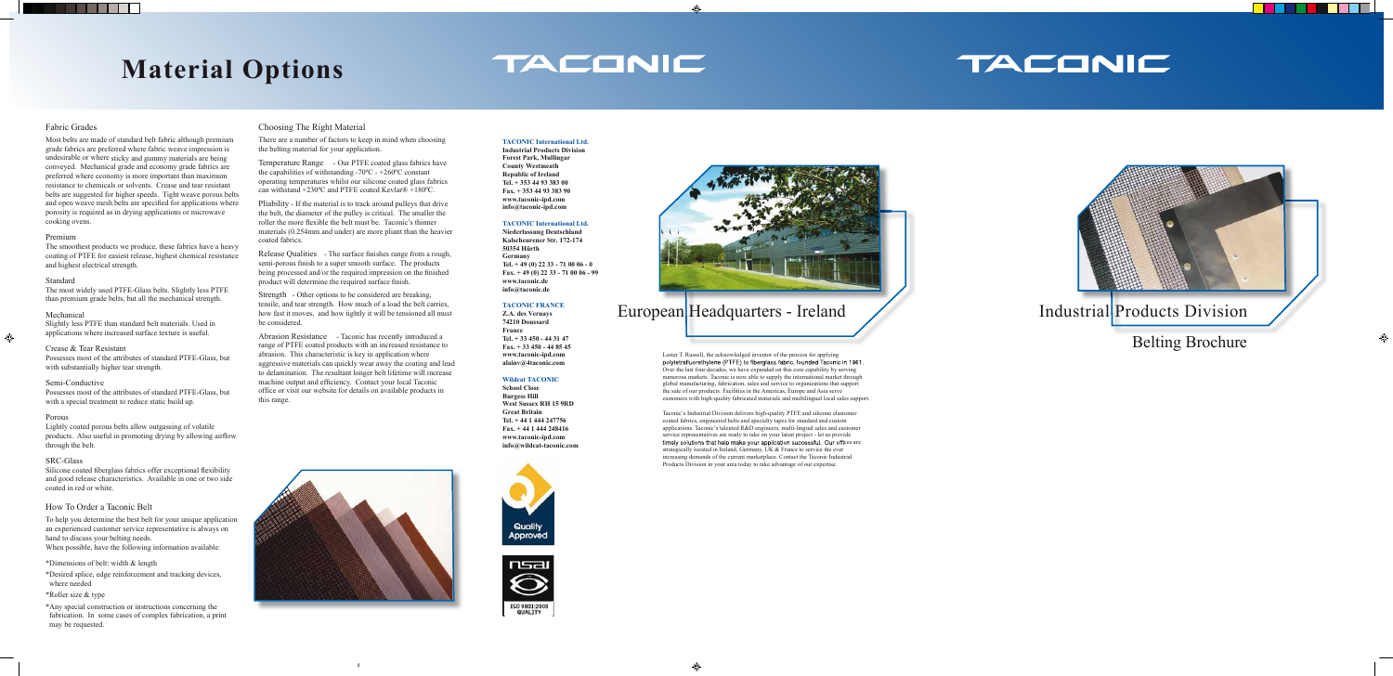### Fabric Grades

<u> Tarihin Ba</u>

Most belts are made of standard belt fabric although premium grade fabrics are preferred where fabric weave impression is undesirable or where sticky and gummy materials are being conveyed. Mechanical grade and economy grade fabrics are preferred where economy is more important than maximum resistance to chemicals or solvents. Crease and tear resistant belts are suggested for higher speeds. Tight weave porous belts and open weave mesh belts are specified for applications where porosity is required as in drying applications or microwave cooking ovens.

The smoothest products we produce, these fabrics have a heavy coating of PTFE for easiest release, highest chemical resistance and highest electrical strength.

### Premium

### Standard

The most widely used PTFE-Glass belts. Slightly less PTFE than premium grade belts, but all the mechanical strength.

### Mechanical

◈

Slightly less PTFE than standard belt materials. Used in applications where increased surface texture is useful.

\*Any special construction or instructions concerning the fabrication. In some cases of complex fabrication, a print may be requested.

### Crease & Tear Resistant

Possesses most of the attributes of standard PTFE-Glass, but with substantially higher tear strength.

### Semi-Conductive

Possesses most of the attributes of standard PTFE-Glass, but with a special treatment to reduce static build up.

### Porous

Lightly coated porous belts allow outgassing of volatile products. Also useful in promoting drying by allowing airflow through the belt.

### SRC-Glass

Silicone coated fiberglass fabrics offer exceptional flexibility and good release characteristics. Available in one or two side coated in red or white.

### How To Order a Taconic Belt

Lester T. Russell, the acknowledged inventor of the process for applying polytetrafluorethylene (PTFE) to fiberglass fabric, founded Taconic in 1961. Over the last four decades, we have expanded on this core capability by serving numerous markets. Taconic is now able to supply the international market through global manufacturing, fabrication, sales and service to organizations that support the sale of our products. Facilities in the Americas, Europe and Asia serve customers with high-quality fabricated materials and multilingual local sales support.

To help you determine the best belt for your unique application an experienced customer service representative is always on hand to discuss your belting needs. When possible, have the following information available:

### \*Dimensions of belt: width & length

\*Desired splice, edge reinforcement and tracking devices, where needed

### \*Roller size & type

## **Material Options**

## TACONIC



### **TACONIC International Ltd.**

**Industrial Products Division Forest Park, Mullingar County Westmeath Republic of Ireland Tel. + 353 44 93 383 00 Fax. + 353 44 93 383 90 www.taconic-ipd.com info@taconic-ipd.com**

### **TACONIC International Ltd.**

Release Qualities - The surface finishes range from a rough, semi-porous finish to a super smooth surface. The products being processed and/or the required impression on the finished product will determine the required surface finish.

**Niederlassung Deutschland Kalscheurener Str. 172-174 50354 Hürth Germany Tel. + 49 (0) 22 33 - 71 00 06 - 0 Fax. + 49 (0) 22 33 - 71 00 06 - 99 www.taconic.de info@taconic.de**

### **TACONIC FRANCE**

**Z.A. des Vernays 74210 Doussard France Tel. + 33 450 - 44 31 47 Fax. + 33 450 - 44 85 45 www.taconic-ipd.com alainv@4taconic.com**

### **Wildcat TACONIC**

Abrasion Resistance - Taconic has recently introduced a range of PTFE coated products with an increased resistance to abrasion. This characteristic is key in application where aggressive materials can quickly wear away the coating and lead to delamination. The resultant longer belt lifetime will increase machine output and efficiency. Contact your local Taconic office or visit our website for details on available products in this range.

**School Close Burgess Hill West Sussex RH 15 9RD Great Britain Tel. + 44 1 444 247756 Fax. + 44 1 444 248416 www.taconic-ipd.com info@wildcat-taconic.com**





Taconic's Industrial Division delivers high-quality PTFE and silicone elastomer coated fabrics, engineered belts and specialty tapes for standard and custom applications. Taconic's talented R&D engineers, multi-lingual sales and customer service representatives are ready to take on your latest project - let us provide timely solutions that help make your application successful. Our offices are strategically located in Ireland, Germany, UK & France to service the ever increasing demands of the current marketplace. Contact the Taconic Industrial Products Division in your area today to take advantage of our expertise.





### Choosing The Right Material

There are a number of factors to keep in mind when choosing the belting material for your application.

Temperature Range - Our PTFE coated glass fabrics have the capabilities of withstanding  $-70^{\circ}$ C -  $+260^{\circ}$ C constant operating temperatures whilst our silicone coated glass fabrics can withstand +230ºC and PTFE coated Kevlar® +180ºC.

Pliability - If the material is to track around pulleys that drive the belt, the diameter of the pulley is critical. The smaller the roller the more flexible the belt must be. Taconic's thinner materials (0.254mm and under) are more pliant than the heavier coated fabrics.

Strength - Other options to be considered are breaking, tensile, and tear strength. How much of a load the belt carries, how fast it moves, and how tightly it will be tensioned all must be considered.

## TACONIC